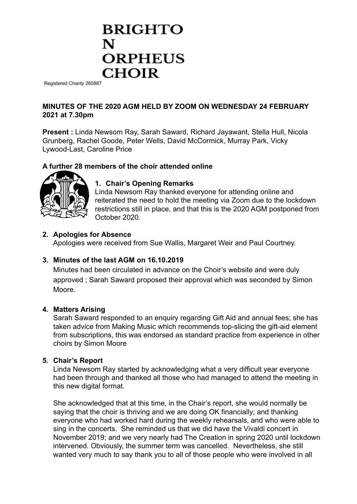# **BRIGHTO ORPHEUS CHOIR**

Registered Charity 260887

# **MINUTES OF THE 2020 AGM HELD BY ZOOM ON WEDNESDAY 24 FEBRUARY 2021 at 7.30pm**

**Present :** Linda Newsom Ray, Sarah Saward, Richard Jayawant, Stella Hull, Nicola Grunberg, Rachel Goode, Peter Wells, David McCormick, Murray Park, Vicky Lywood-Last, Caroline Price

# **A further 28 members of the choir attended online**



# **1. Chair's Opening Remarks**

Linda Newsom Ray thanked everyone for attending online and reiterated the need to hold the meeting via Zoom due to the lockdown restrictions still in place, and that this is the 2020 AGM postponed from October 2020.

## **2. Apologies for Absence**

Apologies were received from Sue Wallis, Margaret Weir and Paul Courtney.

# **3. Minutes of the last AGM on 16.10.2019**

Minutes had been circulated in advance on the Choir's website and were duly approved ; Sarah Saward proposed their approval which was seconded by Simon Moore.

## **4. Matters Arising**

Sarah Saward responded to an enquiry regarding Gift Aid and annual fees; she has taken advice from Making Music which recommends top-slicing the gift-aid element from subscriptions, this was endorsed as standard practice from experience in other choirs by Simon Moore

#### **5. Chair's Report**

Linda Newsom Ray started by acknowledging what a very difficult year everyone had been through and thanked all those who had managed to attend the meeting in this new digital format.

She acknowledged that at this time, in the Chair's report, she would normally be saying that the choir is thriving and we are doing OK financially; and thanking everyone who had worked hard during the weekly rehearsals, and who were able to sing in the concerts. She reminded us that we did have the Vivaldi concert in November 2019; and we very nearly had The Creation in spring 2020 until lockdown intervened. Obviously, the summer term was cancelled. Nevertheless, she still wanted very much to say thank you to all of those people who were involved in all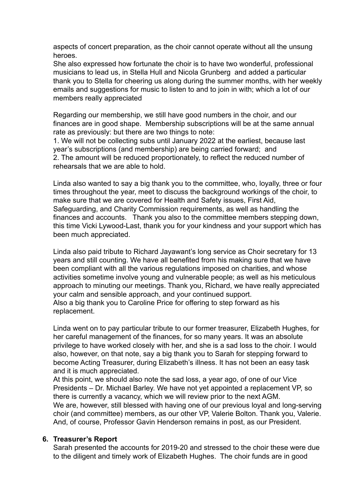aspects of concert preparation, as the choir cannot operate without all the unsung heroes.

She also expressed how fortunate the choir is to have two wonderful, professional musicians to lead us, in Stella Hull and Nicola Grunberg and added a particular thank you to Stella for cheering us along during the summer months, with her weekly emails and suggestions for music to listen to and to join in with; which a lot of our members really appreciated

Regarding our membership, we still have good numbers in the choir, and our finances are in good shape. Membership subscriptions will be at the same annual rate as previously: but there are two things to note:

1. We will not be collecting subs until January 2022 at the earliest, because last year's subscriptions (and membership) are being carried forward; and 2. The amount will be reduced proportionately, to reflect the reduced number of rehearsals that we are able to hold.

Linda also wanted to say a big thank you to the committee, who, loyally, three or four times throughout the year, meet to discuss the background workings of the choir, to make sure that we are covered for Health and Safety issues, First Aid, Safeguarding, and Charity Commission requirements, as well as handling the finances and accounts. Thank you also to the committee members stepping down, this time Vicki Lywood-Last, thank you for your kindness and your support which has been much appreciated.

Linda also paid tribute to Richard Jayawant's long service as Choir secretary for 13 years and still counting. We have all benefited from his making sure that we have been compliant with all the various regulations imposed on charities, and whose activities sometime involve young and vulnerable people; as well as his meticulous approach to minuting our meetings. Thank you, Richard, we have really appreciated your calm and sensible approach, and your continued support. Also a big thank you to Caroline Price for offering to step forward as his replacement.

Linda went on to pay particular tribute to our former treasurer, Elizabeth Hughes, for her careful management of the finances, for so many years. It was an absolute privilege to have worked closely with her, and she is a sad loss to the choir. I would also, however, on that note, say a big thank you to Sarah for stepping forward to become Acting Treasurer, during Elizabeth's illness. It has not been an easy task and it is much appreciated.

At this point, we should also note the sad loss, a year ago, of one of our Vice Presidents – Dr. Michael Barley. We have not yet appointed a replacement VP, so there is currently a vacancy, which we will review prior to the next AGM. We are, however, still blessed with having one of our previous loyal and long-serving choir (and committee) members, as our other VP, Valerie Bolton. Thank you, Valerie. And, of course, Professor Gavin Henderson remains in post, as our President.

## **6. Treasurer's Report**

Sarah presented the accounts for 2019-20 and stressed to the choir these were due to the diligent and timely work of Elizabeth Hughes. The choir funds are in good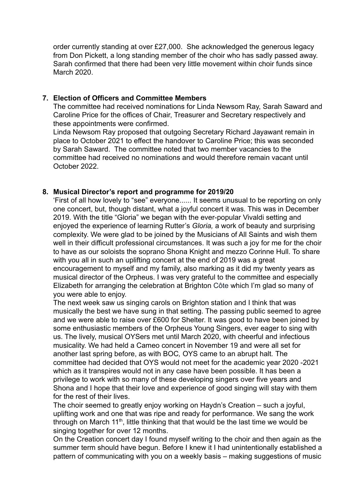order currently standing at over £27,000. She acknowledged the generous legacy from Don Pickett, a long standing member of the choir who has sadly passed away. Sarah confirmed that there had been very little movement within choir funds since March 2020.

## **7. Election of Officers and Committee Members**

The committee had received nominations for Linda Newsom Ray, Sarah Saward and Caroline Price for the offices of Chair, Treasurer and Secretary respectively and these appointments were confirmed.

Linda Newsom Ray proposed that outgoing Secretary Richard Jayawant remain in place to October 2021 to effect the handover to Caroline Price; this was seconded by Sarah Saward. The committee noted that two member vacancies to the committee had received no nominations and would therefore remain vacant until October 2022.

## **8. Musical Director's report and programme for 2019/20**

'First of all how lovely to "see" everyone...... It seems unusual to be reporting on only one concert, but, though distant, what a joyful concert it was. This was in December 2019. With the title "Gloria" we began with the ever-popular Vivaldi setting and enjoyed the experience of learning Rutter's *Gloria,* a work of beauty and surprising complexity. We were glad to be joined by the Musicians of All Saints and wish them well in their difficult professional circumstances. It was such a joy for me for the choir to have as our soloists the soprano Shona Knight and mezzo Corinne Hull. To share with you all in such an uplifting concert at the end of 2019 was a great encouragement to myself and my family, also marking as it did my twenty years as musical director of the Orpheus. I was very grateful to the committee and especially Elizabeth for arranging the celebration at Brighton Côte which I'm glad so many of you were able to enjoy.

The next week saw us singing carols on Brighton station and I think that was musically the best we have sung in that setting. The passing public seemed to agree and we were able to raise over £600 for Shelter. It was good to have been joined by some enthusiastic members of the Orpheus Young Singers, ever eager to sing with us. The lively, musical OYSers met until March 2020, with cheerful and infectious musicality. We had held a Cameo concert in November 19 and were all set for another last spring before, as with BOC*,* OYS came to an abrupt halt*.* The committee had decided that OYS would not meet for the academic year 2020 -2021 which as it transpires would not in any case have been possible. It has been a privilege to work with so many of these developing singers over five years and Shona and I hope that their love and experience of good singing will stay with them for the rest of their lives.

The choir seemed to greatly enjoy working on Haydn's Creation – such a joyful, uplifting work and one that was ripe and ready for performance. We sang the work through on March  $11<sup>th</sup>$ , little thinking that that would be the last time we would be singing together for over 12 months.

On the Creation concert day I found myself writing to the choir and then again as the summer term should have begun. Before I knew it I had unintentionally established a pattern of communicating with you on a weekly basis – making suggestions of music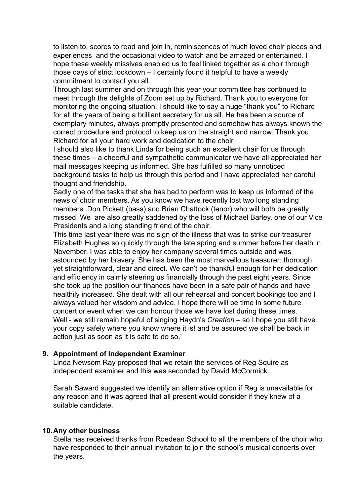to listen to, scores to read and join in, reminiscences of much loved choir pieces and experiences and the occasional video to watch and be amazed or entertained. I hope these weekly missives enabled us to feel linked together as a choir through those days of strict lockdown – I certainly found it helpful to have a weekly commitment to contact you all.

Through last summer and on through this year your committee has continued to meet through the delights of Zoom set up by Richard. Thank you to everyone for monitoring the ongoing situation. I should like to say a huge "thank you" to Richard for all the years of being a brilliant secretary for us all. He has been a source of exemplary minutes, always promptly presented and somehow has always known the correct procedure and protocol to keep us on the straight and narrow. Thank you Richard for all your hard work and dedication to the choir.

I should also like to thank Linda for being such an excellent chair for us through these times – a cheerful and sympathetic communicator we have all appreciated her mail messages keeping us informed. She has fulfilled so many unnoticed background tasks to help us through this period and I have appreciated her careful thought and friendship.

Sadly one of the tasks that she has had to perform was to keep us informed of the news of choir members. As you know we have recently lost two long standing members: Don Pickett (bass) and Brian Chattock (tenor) who will both be greatly missed. We are also greatly saddened by the loss of Michael Barley, one of our Vice Presidents and a long standing friend of the choir.

This time last year there was no sign of the illness that was to strike our treasurer Elizabeth Hughes so quickly through the late spring and summer before her death in November. I was able to enjoy her company several times outside and was astounded by her bravery. She has been the most marvellous treasurer: thorough yet straightforward, clear and direct. We can't be thankful enough for her dedication and efficiency in calmly steering us financially through the past eight years. Since she took up the position our finances have been in a safe pair of hands and have healthily increased. She dealt with all our rehearsal and concert bookings too and I always valued her wisdom and advice. I hope there will be time in some future concert or event when we can honour those we have lost during these times. Well - we still remain hopeful of singing Haydn's *Creation –* so I hope you still have your copy safely where you know where it is! and be assured we shall be back in action just as soon as it is safe to do so.'

## **9. Appointment of Independent Examiner**

Linda Newsom Ray proposed that we retain the services of Reg Squire as independent examiner and this was seconded by David McCormick.

Sarah Saward suggested we identify an alternative option if Reg is unavailable for any reason and it was agreed that all present would consider if they knew of a suitable candidate.

#### **10.Any other business**

Stella has received thanks from Roedean School to all the members of the choir who have responded to their annual invitation to join the school's musical concerts over the years.